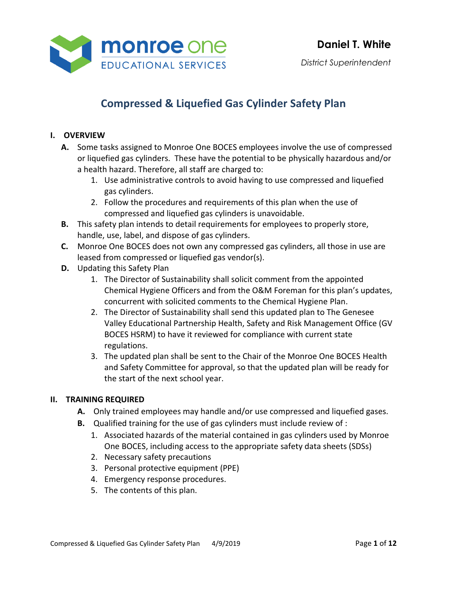

*District Superintendent*

# **Compressed & Liquefied Gas Cylinder Safety Plan**

#### **I. OVERVIEW**

- **A.** Some tasks assigned to Monroe One BOCES employees involve the use of compressed or liquefied gas cylinders. These have the potential to be physically hazardous and/or a health hazard. Therefore, all staff are charged to:
	- 1. Use administrative controls to avoid having to use compressed and liquefied gas cylinders.
	- 2. Follow the procedures and requirements of this plan when the use of compressed and liquefied gas cylinders is unavoidable.
- **B.** This safety plan intends to detail requirements for employees to properly store, handle, use, label, and dispose of gas cylinders.
- **C.** Monroe One BOCES does not own any compressed gas cylinders, all those in use are leased from compressed or liquefied gas vendor(s).
- **D.** Updating this Safety Plan
	- 1. The Director of Sustainability shall solicit comment from the appointed Chemical Hygiene Officers and from the O&M Foreman for this plan's updates, concurrent with solicited comments to the Chemical Hygiene Plan.
	- 2. The Director of Sustainability shall send this updated plan to The Genesee Valley Educational Partnership Health, Safety and Risk Management Office (GV BOCES HSRM) to have it reviewed for compliance with current state regulations.
	- 3. The updated plan shall be sent to the Chair of the Monroe One BOCES Health and Safety Committee for approval, so that the updated plan will be ready for the start of the next school year.

#### **II. TRAINING REQUIRED**

- **A.** Only trained employees may handle and/or use compressed and liquefied gases.
- **B.** Qualified training for the use of gas cylinders must include review of :
	- 1. Associated hazards of the material contained in gas cylinders used by Monroe One BOCES, including access to the appropriate safety data sheets (SDSs)
	- 2. Necessary safety precautions
	- 3. Personal protective equipment (PPE)
	- 4. Emergency response procedures.
	- 5. The contents of this plan.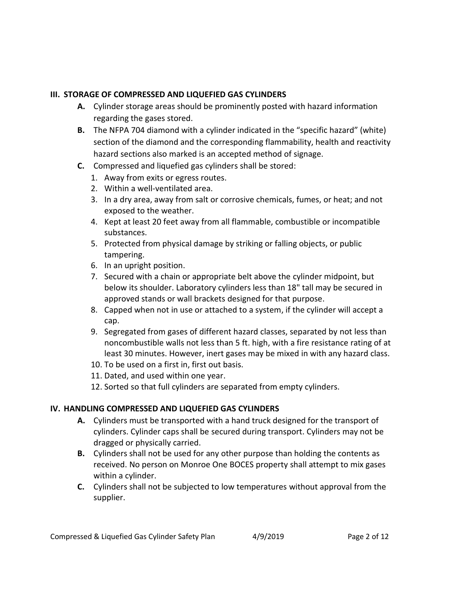#### **III. STORAGE OF COMPRESSED AND LIQUEFIED GAS CYLINDERS**

- **A.** Cylinder storage areas should be prominently posted with hazard information regarding the gases stored.
- **B.** The NFPA 704 diamond with a cylinder indicated in the "specific hazard" (white) section of the diamond and the corresponding flammability, health and reactivity hazard sections also marked is an accepted method of signage.
- **C.** Compressed and liquefied gas cylinders shall be stored:
	- 1. Away from exits or egress routes.
	- 2. Within a well-ventilated area.
	- 3. In a dry area, away from salt or corrosive chemicals, fumes, or heat; and not exposed to the weather.
	- 4. Kept at least 20 feet away from all flammable, combustible or incompatible substances.
	- 5. Protected from physical damage by striking or falling objects, or public tampering.
	- 6. In an upright position.
	- 7. Secured with a chain or appropriate belt above the cylinder midpoint, but below its shoulder. Laboratory cylinders less than 18" tall may be secured in approved stands or wall brackets designed for that purpose.
	- 8. Capped when not in use or attached to a system, if the cylinder will accept a cap.
	- 9. Segregated from gases of different hazard classes, separated by not less than noncombustible walls not less than 5 ft. high, with a fire resistance rating of at least 30 minutes. However, inert gases may be mixed in with any hazard class.
	- 10. To be used on a first in, first out basis.
	- 11. Dated, and used within one year.
	- 12. Sorted so that full cylinders are separated from empty cylinders.

## **IV. HANDLING COMPRESSED AND LIQUEFIED GAS CYLINDERS**

- **A.** Cylinders must be transported with a hand truck designed for the transport of cylinders. Cylinder caps shall be secured during transport. Cylinders may not be dragged or physically carried.
- **B.** Cylinders shall not be used for any other purpose than holding the contents as received. No person on Monroe One BOCES property shall attempt to mix gases within a cylinder.
- **C.** Cylinders shall not be subjected to low temperatures without approval from the supplier.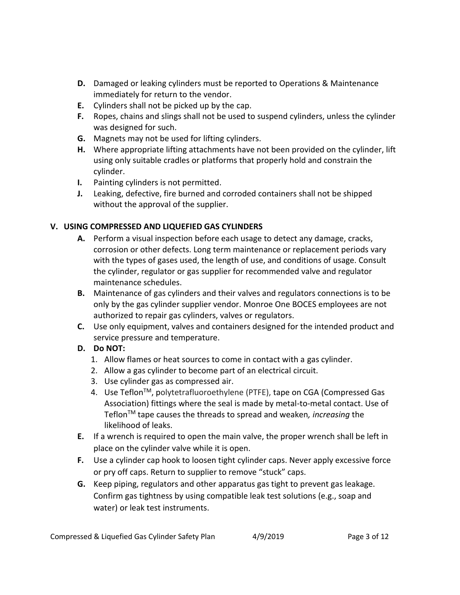- **D.** Damaged or leaking cylinders must be reported to Operations & Maintenance immediately for return to the vendor.
- **E.** Cylinders shall not be picked up by the cap.
- **F.** Ropes, chains and slings shall not be used to suspend cylinders, unless the cylinder was designed for such.
- **G.** Magnets may not be used for lifting cylinders.
- **H.** Where appropriate lifting attachments have not been provided on the cylinder, lift using only suitable cradles or platforms that properly hold and constrain the cylinder.
- **I.** Painting cylinders is not permitted.
- **J.** Leaking, defective, fire burned and corroded containers shall not be shipped without the approval of the supplier.

# **V. USING COMPRESSED AND LIQUEFIED GAS CYLINDERS**

- **A.** Perform a visual inspection before each usage to detect any damage, cracks, corrosion or other defects. Long term maintenance or replacement periods vary with the types of gases used, the length of use, and conditions of usage. Consult the cylinder, regulator or gas supplier for recommended valve and regulator maintenance schedules.
- **B.** Maintenance of gas cylinders and their valves and regulators connections is to be only by the gas cylinder supplier vendor. Monroe One BOCES employees are not authorized to repair gas cylinders, valves or regulators.
- **C.** Use only equipment, valves and containers designed for the intended product and service pressure and temperature.

# **D. Do NOT:**

- 1. Allow flames or heat sources to come in contact with a gas cylinder.
- 2. Allow a gas cylinder to become part of an electrical circuit.
- 3. Use cylinder gas as compressed air.
- 4. Use Teflon<sup>™</sup>, polytetrafluoroethylene (PTFE), tape on CGA (Compressed Gas Association) fittings where the seal is made by metal-to-metal contact. Use of Teflon<sup>™</sup> tape causes the threads to spread and weaken, *increasing* the likelihood of leaks.
- **E.** If a wrench is required to open the main valve, the proper wrench shall be left in place on the cylinder valve while it is open.
- **F.** Use a cylinder cap hook to loosen tight cylinder caps. Never apply excessive force or pry off caps. Return to supplier to remove "stuck" caps.
- **G.** Keep piping, regulators and other apparatus gas tight to prevent gas leakage. Confirm gas tightness by using compatible leak test solutions (e.g., soap and water) or leak test instruments.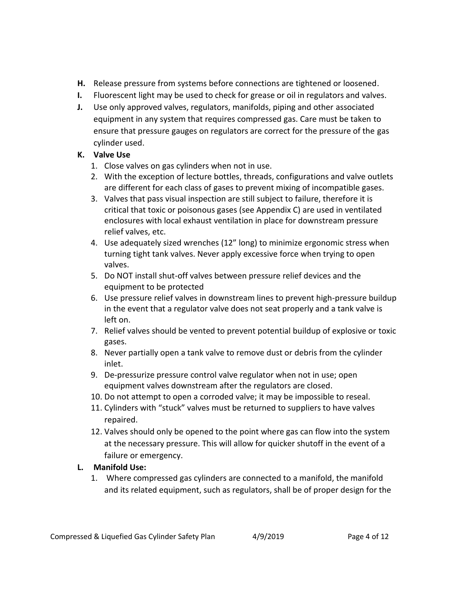- **H.** Release pressure from systems before connections are tightened or loosened.
- **I.** Fluorescent light may be used to check for grease or oil in regulators and valves.
- **J.** Use only approved valves, regulators, manifolds, piping and other associated equipment in any system that requires compressed gas. Care must be taken to ensure that pressure gauges on regulators are correct for the pressure of the gas cylinder used.

# **K. Valve Use**

- 1. Close valves on gas cylinders when not in use.
- 2. With the exception of lecture bottles, threads, configurations and valve outlets are different for each class of gases to prevent mixing of incompatible gases.
- 3. Valves that pass visual inspection are still subject to failure, therefore it is critical that toxic or poisonous gases (see Appendix C) are used in ventilated enclosures with local exhaust ventilation in place for downstream pressure relief valves, etc.
- 4. Use adequately sized wrenches (12" long) to minimize ergonomic stress when turning tight tank valves. Never apply excessive force when trying to open valves.
- 5. Do NOT install shut-off valves between pressure relief devices and the equipment to be protected
- 6. Use pressure relief valves in downstream lines to prevent high-pressure buildup in the event that a regulator valve does not seat properly and a tank valve is left on.
- 7. Relief valves should be vented to prevent potential buildup of explosive or toxic gases.
- 8. Never partially open a tank valve to remove dust or debris from the cylinder inlet.
- 9. De-pressurize pressure control valve regulator when not in use; open equipment valves downstream after the regulators are closed.
- 10. Do not attempt to open a corroded valve; it may be impossible to reseal.
- 11. Cylinders with "stuck" valves must be returned to suppliers to have valves repaired.
- 12. Valves should only be opened to the point where gas can flow into the system at the necessary pressure. This will allow for quicker shutoff in the event of a failure or emergency.

# **L. Manifold Use:**

1. Where compressed gas cylinders are connected to a manifold, the manifold and its related equipment, such as regulators, shall be of proper design for the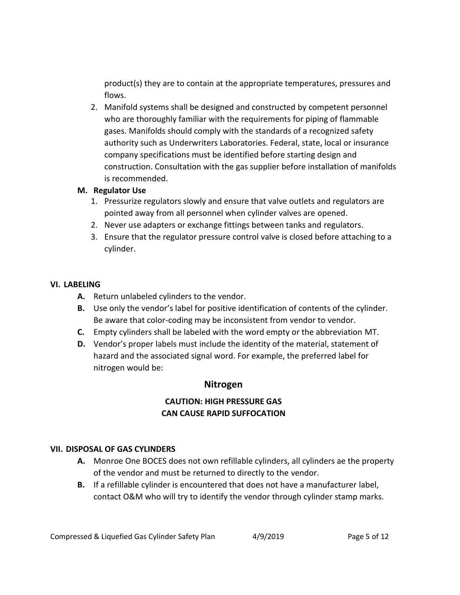product(s) they are to contain at the appropriate temperatures, pressures and flows.

2. Manifold systems shall be designed and constructed by competent personnel who are thoroughly familiar with the requirements for piping of flammable gases. Manifolds should comply with the standards of a recognized safety authority such as Underwriters Laboratories. Federal, state, local or insurance company specifications must be identified before starting design and construction. Consultation with the gas supplier before installation of manifolds is recommended.

#### **M. Regulator Use**

- 1. Pressurize regulators slowly and ensure that valve outlets and regulators are pointed away from all personnel when cylinder valves are opened.
- 2. Never use adapters or exchange fittings between tanks and regulators.
- 3. Ensure that the regulator pressure control valve is closed before attaching to a cylinder.

## **VI. LABELING**

- **A.** Return unlabeled cylinders to the vendor.
- **B.** Use only the vendor's label for positive identification of contents of the cylinder. Be aware that color-coding may be inconsistent from vendor to vendor.
- **C.** Empty cylinders shall be labeled with the word empty or the abbreviation MT.
- **D.** Vendor's proper labels must include the identity of the material, statement of hazard and the associated signal word. For example, the preferred label for nitrogen would be:

# **Nitrogen**

# **CAUTION: HIGH PRESSURE GAS CAN CAUSE RAPID SUFFOCATION**

## **VII. DISPOSAL OF GAS CYLINDERS**

- **A.** Monroe One BOCES does not own refillable cylinders, all cylinders ae the property of the vendor and must be returned to directly to the vendor.
- **B.** If a refillable cylinder is encountered that does not have a manufacturer label, contact O&M who will try to identify the vendor through cylinder stamp marks.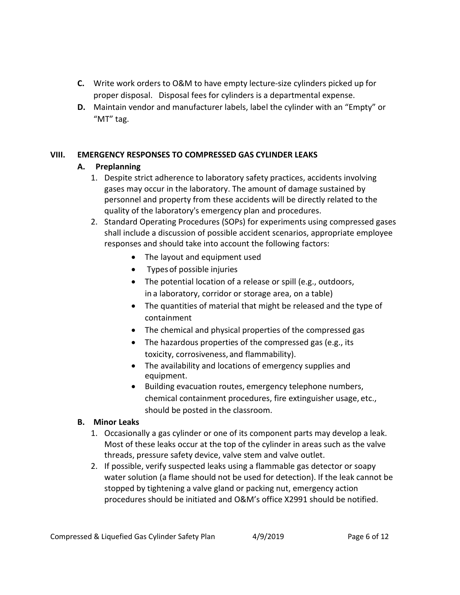- **C.** Write work orders to O&M to have empty lecture-size cylinders picked up for proper disposal. Disposal fees for cylinders is a departmental expense.
- **D.** Maintain vendor and manufacturer labels, label the cylinder with an "Empty" or "MT" tag.

## **VIII. EMERGENCY RESPONSES TO COMPRESSED GAS CYLINDER LEAKS**

## **A. Preplanning**

- 1. Despite strict adherence to laboratory safety practices, accidents involving gases may occur in the laboratory. The amount of damage sustained by personnel and property from these accidents will be directly related to the quality of the laboratory's emergency plan and procedures.
- 2. Standard Operating Procedures (SOPs) for experiments using compressed gases shall include a discussion of possible accident scenarios, appropriate employee responses and should take into account the following factors:
	- The layout and equipment used
	- Types of possible injuries
	- The potential location of a release or spill (e.g., outdoors, in a laboratory, corridor or storage area, on a table)
	- The quantities of material that might be released and the type of containment
	- The chemical and physical properties of the compressed gas
	- The hazardous properties of the compressed gas (e.g., its toxicity, corrosiveness, and flammability).
	- The availability and locations of emergency supplies and equipment.
	- Building evacuation routes, emergency telephone numbers, chemical containment procedures, fire extinguisher usage, etc., should be posted in the classroom.

#### **B. Minor Leaks**

- 1. Occasionally a gas cylinder or one of its component parts may develop a leak. Most of these leaks occur at the top of the cylinder in areas such as the valve threads, pressure safety device, valve stem and valve outlet.
- 2. If possible, verify suspected leaks using a flammable gas detector or soapy water solution (a flame should not be used for detection). If the leak cannot be stopped by tightening a valve gland or packing nut, emergency action procedures should be initiated and O&M's office X2991 should be notified.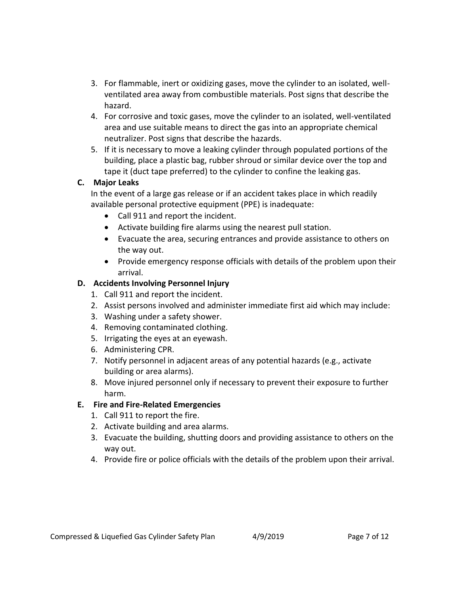- 3. For flammable, inert or oxidizing gases, move the cylinder to an isolated, wellventilated area away from combustible materials. Post signs that describe the hazard.
- 4. For corrosive and toxic gases, move the cylinder to an isolated, well-ventilated area and use suitable means to direct the gas into an appropriate chemical neutralizer. Post signs that describe the hazards.
- 5. If it is necessary to move a leaking cylinder through populated portions of the building, place a plastic bag, rubber shroud or similar device over the top and tape it (duct tape preferred) to the cylinder to confine the leaking gas.

## **C. Major Leaks**

In the event of a large gas release or if an accident takes place in which readily available personal protective equipment (PPE) is inadequate:

- Call 911 and report the incident.
- Activate building fire alarms using the nearest pull station.
- Evacuate the area, securing entrances and provide assistance to others on the way out.
- Provide emergency response officials with details of the problem upon their arrival.

## **D. Accidents Involving Personnel Injury**

- 1. Call 911 and report the incident.
- 2. Assist persons involved and administer immediate first aid which may include:
- 3. Washing under a safety shower.
- 4. Removing contaminated clothing.
- 5. Irrigating the eyes at an eyewash.
- 6. Administering CPR.
- 7. Notify personnel in adjacent areas of any potential hazards (e.g., activate building or area alarms).
- 8. Move injured personnel only if necessary to prevent their exposure to further harm.

#### **E. Fire and Fire-Related Emergencies**

- 1. Call 911 to report the fire.
- 2. Activate building and area alarms.
- 3. Evacuate the building, shutting doors and providing assistance to others on the way out.
- 4. Provide fire or police officials with the details of the problem upon their arrival.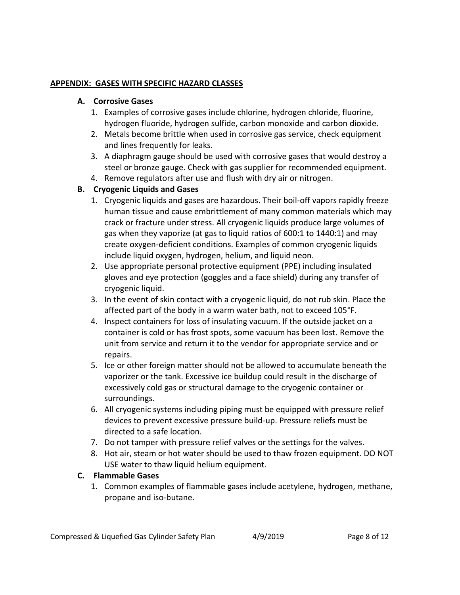#### **APPENDIX: GASES WITH SPECIFIC HAZARD CLASSES**

#### **A. Corrosive Gases**

- 1. Examples of corrosive gases include chlorine, hydrogen chloride, fluorine, hydrogen fluoride, hydrogen sulfide, carbon monoxide and carbon dioxide.
- 2. Metals become brittle when used in corrosive gas service, check equipment and lines frequently for leaks.
- 3. A diaphragm gauge should be used with corrosive gases that would destroy a steel or bronze gauge. Check with gas supplier for recommended equipment.
- 4. Remove regulators after use and flush with dry air or nitrogen.

## **B. Cryogenic Liquids and Gases**

- 1. Cryogenic liquids and gases are hazardous. Their boil-off vapors rapidly freeze human tissue and cause embrittlement of many common materials which may crack or fracture under stress. All cryogenic liquids produce large volumes of gas when they vaporize (at gas to liquid ratios of 600:1 to 1440:1) and may create oxygen-deficient conditions. Examples of common cryogenic liquids include liquid oxygen, hydrogen, helium, and liquid neon.
- 2. Use appropriate personal protective equipment (PPE) including insulated gloves and eye protection (goggles and a face shield) during any transfer of cryogenic liquid.
- 3. In the event of skin contact with a cryogenic liquid, do not rub skin. Place the affected part of the body in a warm water bath, not to exceed 105°F.
- 4. Inspect containers for loss of insulating vacuum. If the outside jacket on a container is cold or has frost spots, some vacuum has been lost. Remove the unit from service and return it to the vendor for appropriate service and or repairs.
- 5. Ice or other foreign matter should not be allowed to accumulate beneath the vaporizer or the tank. Excessive ice buildup could result in the discharge of excessively cold gas or structural damage to the cryogenic container or surroundings.
- 6. All cryogenic systems including piping must be equipped with pressure relief devices to prevent excessive pressure build-up. Pressure reliefs must be directed to a safe location.
- 7. Do not tamper with pressure relief valves or the settings for the valves.
- 8. Hot air, steam or hot water should be used to thaw frozen equipment. DO NOT USE water to thaw liquid helium equipment.

#### **C. Flammable Gases**

1. Common examples of flammable gases include acetylene, hydrogen, methane, propane and iso-butane.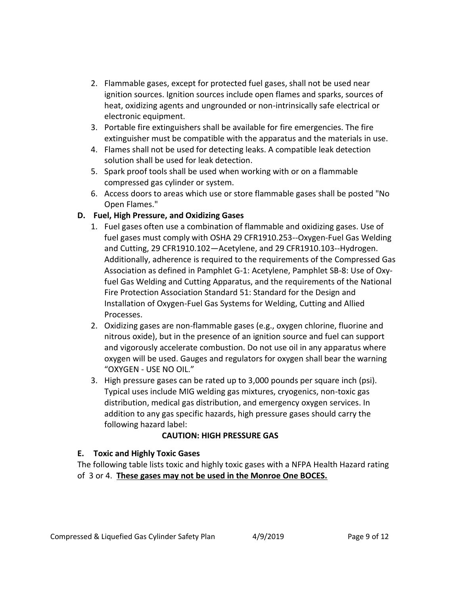- 2. Flammable gases, except for protected fuel gases, shall not be used near ignition sources. Ignition sources include open flames and sparks, sources of heat, oxidizing agents and ungrounded or non-intrinsically safe electrical or electronic equipment.
- 3. Portable fire extinguishers shall be available for fire emergencies. The fire extinguisher must be compatible with the apparatus and the materials in use.
- 4. Flames shall not be used for detecting leaks. A compatible leak detection solution shall be used for leak detection.
- 5. Spark proof tools shall be used when working with or on a flammable compressed gas cylinder or system.
- 6. Access doors to areas which use or store flammable gases shall be posted "No Open Flames."

## **D. Fuel, High Pressure, and Oxidizing Gases**

- 1. Fuel gases often use a combination of flammable and oxidizing gases. Use of fuel gases must comply with OSHA 29 CFR1910.253--Oxygen-Fuel Gas Welding and Cutting, 29 CFR1910.102—Acetylene, and 29 CFR1910.103--Hydrogen. Additionally, adherence is required to the requirements of the Compressed Gas Association as defined in Pamphlet G-1: Acetylene, Pamphlet SB-8: Use of Oxyfuel Gas Welding and Cutting Apparatus, and the requirements of the National Fire Protection Association Standard 51: Standard for the Design and Installation of Oxygen-Fuel Gas Systems for Welding, Cutting and Allied Processes.
- 2. Oxidizing gases are non-flammable gases (e.g., oxygen chlorine, fluorine and nitrous oxide), but in the presence of an ignition source and fuel can support and vigorously accelerate combustion. Do not use oil in any apparatus where oxygen will be used. Gauges and regulators for oxygen shall bear the warning "OXYGEN - USE NO OIL."
- 3. High pressure gases can be rated up to 3,000 pounds per square inch (psi). Typical uses include MIG welding gas mixtures, cryogenics, non-toxic gas distribution, medical gas distribution, and emergency oxygen services. In addition to any gas specific hazards, high pressure gases should carry the following hazard label:

## **CAUTION: HIGH PRESSURE GAS**

## **E. Toxic and Highly Toxic Gases**

The following table lists toxic and highly toxic gases with a NFPA Health Hazard rating of 3 or 4. **These gases may not be used in the Monroe One BOCES.**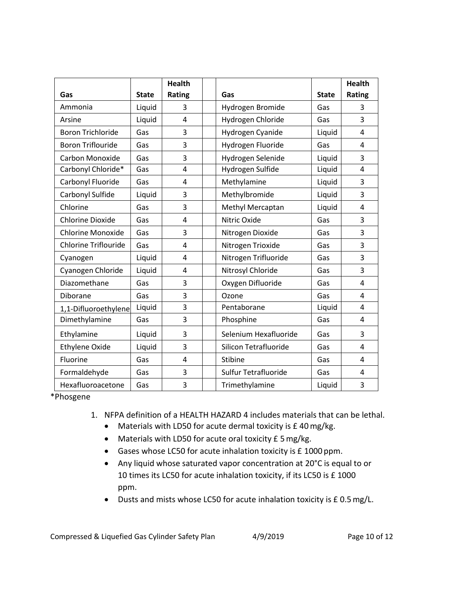|                             |              | <b>Health</b> |                       |              | <b>Health</b> |
|-----------------------------|--------------|---------------|-----------------------|--------------|---------------|
| Gas                         | <b>State</b> | Rating        | Gas                   | <b>State</b> | Rating        |
| Ammonia                     | Liquid       | 3             | Hydrogen Bromide      | Gas          | 3             |
| Arsine                      | Liquid       | 4             | Hydrogen Chloride     | Gas          | 3             |
| <b>Boron Trichloride</b>    | Gas          | 3             | Hydrogen Cyanide      | Liquid       | 4             |
| <b>Boron Triflouride</b>    | Gas          | 3             | Hydrogen Fluoride     | Gas          | 4             |
| <b>Carbon Monoxide</b>      | Gas          | 3             | Hydrogen Selenide     | Liquid       | 3             |
| Carbonyl Chloride*          | Gas          | 4             | Hydrogen Sulfide      | Liquid       | 4             |
| Carbonyl Fluoride           | Gas          | 4             | Methylamine           | Liquid       | 3             |
| Carbonyl Sulfide            | Liquid       | 3             | Methylbromide         | Liquid       | 3             |
| Chlorine                    | Gas          | 3             | Methyl Mercaptan      | Liquid       | 4             |
| <b>Chlorine Dioxide</b>     | Gas          | 4             | Nitric Oxide          | Gas          | 3             |
| <b>Chlorine Monoxide</b>    | Gas          | 3             | Nitrogen Dioxide      | Gas          | 3             |
| <b>Chlorine Triflouride</b> | Gas          | 4             | Nitrogen Trioxide     | Gas          | 3             |
| Cyanogen                    | Liquid       | 4             | Nitrogen Trifluoride  | Gas          | 3             |
| Cyanogen Chloride           | Liquid       | 4             | Nitrosyl Chloride     | Gas          | 3             |
| Diazomethane                | Gas          | 3             | Oxygen Difluoride     | Gas          | 4             |
| Diborane                    | Gas          | 3             | Ozone                 | Gas          | 4             |
| 1,1-Difluoroethylene        | Liquid       | 3             | Pentaborane           | Liquid       | 4             |
| Dimethylamine               | Gas          | 3             | Phosphine             | Gas          | 4             |
| Ethylamine                  | Liquid       | 3             | Selenium Hexafluoride | Gas          | 3             |
| <b>Ethylene Oxide</b>       | Liquid       | 3             | Silicon Tetrafluoride | Gas          | 4             |
| Fluorine                    | Gas          | 4             | Stibine               | Gas          | 4             |
| Formaldehyde                | Gas          | 3             | Sulfur Tetrafluoride  | Gas          | 4             |
| Hexafluoroacetone           | Gas          | 3             | Trimethylamine        | Liquid       | 3             |

\*Phosgene

- 1. NFPA definition of a HEALTH HAZARD 4 includes materials that can be lethal.
	- Materials with LD50 for acute dermal toxicity is £ 40mg/kg.
	- Materials with LD50 for acute oral toxicity £ 5 mg/kg.
	- Gases whose LC50 for acute inhalation toxicity is £ 1000 ppm.
	- Any liquid whose saturated vapor concentration at 20°C is equal to or 10 times its LC50 for acute inhalation toxicity, if its LC50 is £ 1000 ppm.
	- Dusts and mists whose LC50 for acute inhalation toxicity is £ 0.5mg/L.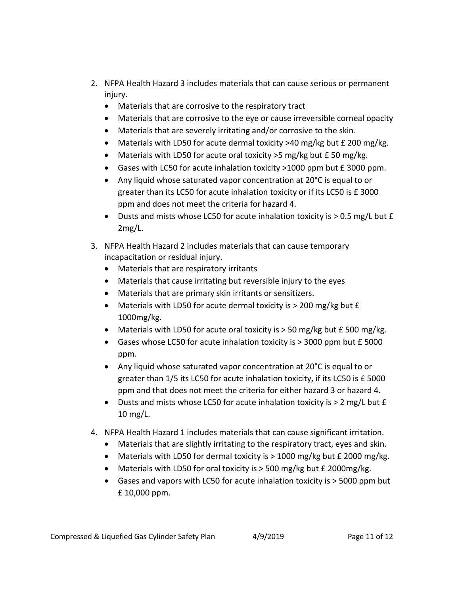- 2. NFPA Health Hazard 3 includes materials that can cause serious or permanent injury.
	- Materials that are corrosive to the respiratory tract
	- Materials that are corrosive to the eye or cause irreversible corneal opacity
	- Materials that are severely irritating and/or corrosive to the skin.
	- Materials with LD50 for acute dermal toxicity  $>40$  mg/kg but £ 200 mg/kg.
	- Materials with LD50 for acute oral toxicity >5 mg/kg but £50 mg/kg.
	- Gases with LC50 for acute inhalation toxicity >1000 ppm but £ 3000 ppm.
	- Any liquid whose saturated vapor concentration at 20°C is equal to or greater than its LC50 for acute inhalation toxicity or if its LC50 is £ 3000 ppm and does not meet the criteria for hazard 4.
	- U Dusts and mists whose LC50 for acute inhalation toxicity is  $> 0.5$  mg/L but  $f$ 2mg/L.
- 3. NFPA Health Hazard 2 includes materials that can cause temporary incapacitation or residual injury.
	- Materials that are respiratory irritants
	- Materials that cause irritating but reversible injury to the eyes
	- Materials that are primary skin irritants or sensitizers.
	- Materials with LD50 for acute dermal toxicity is > 200 mg/kg but £ 1000mg/kg.
	- Materials with LD50 for acute oral toxicity is  $>$  50 mg/kg but £ 500 mg/kg.
	- Gases whose LC50 for acute inhalation toxicity is > 3000 ppm but £ 5000 ppm.
	- Any liquid whose saturated vapor concentration at 20°C is equal to or greater than 1/5 its LC50 for acute inhalation toxicity, if its LC50 is £ 5000 ppm and that does not meet the criteria for either hazard 3 or hazard 4.
	- U Dusts and mists whose LC50 for acute inhalation toxicity is  $> 2$  mg/L but  $f$ 10 mg/L.
- 4. NFPA Health Hazard 1 includes materials that can cause significant irritation.
	- Materials that are slightly irritating to the respiratory tract, eyes and skin.
	- Materials with LD50 for dermal toxicity is > 1000 mg/kg but £ 2000 mg/kg.
	- Materials with LD50 for oral toxicity is > 500 mg/kg but £ 2000mg/kg.
	- Gases and vapors with LC50 for acute inhalation toxicity is > 5000 ppm but £ 10,000 ppm.